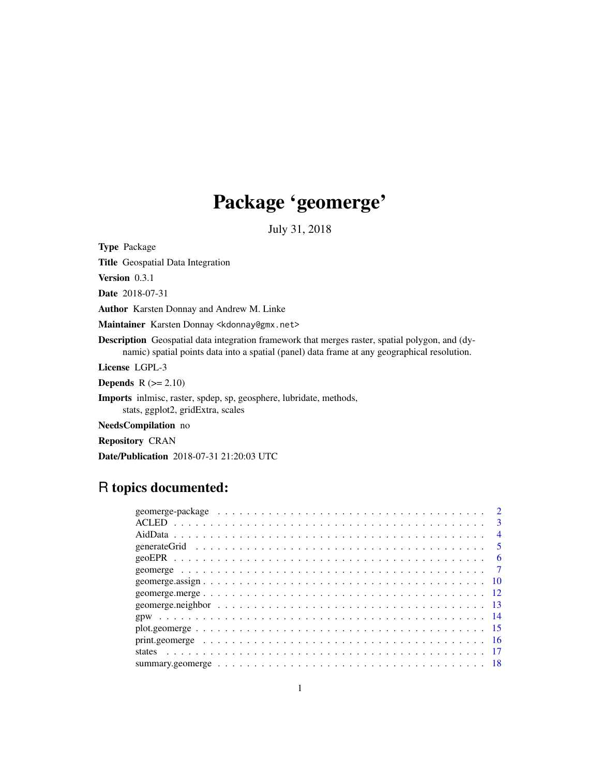# Package 'geomerge'

July 31, 2018

Type Package

Title Geospatial Data Integration

Version 0.3.1

Date 2018-07-31

Author Karsten Donnay and Andrew M. Linke

Maintainer Karsten Donnay <kdonnay@gmx.net>

Description Geospatial data integration framework that merges raster, spatial polygon, and (dynamic) spatial points data into a spatial (panel) data frame at any geographical resolution.

License LGPL-3

**Depends**  $R (= 2.10)$ 

Imports inlmisc, raster, spdep, sp, geosphere, lubridate, methods, stats, ggplot2, gridExtra, scales

NeedsCompilation no

Repository CRAN

Date/Publication 2018-07-31 21:20:03 UTC

# R topics documented:

|  |  |  |  |  |  |  |  |  |  |  |  |  |  |  |  |  |  | $\mathbf{R}$            |
|--|--|--|--|--|--|--|--|--|--|--|--|--|--|--|--|--|--|-------------------------|
|  |  |  |  |  |  |  |  |  |  |  |  |  |  |  |  |  |  | $\overline{4}$          |
|  |  |  |  |  |  |  |  |  |  |  |  |  |  |  |  |  |  | $\overline{\mathbf{5}}$ |
|  |  |  |  |  |  |  |  |  |  |  |  |  |  |  |  |  |  | 6                       |
|  |  |  |  |  |  |  |  |  |  |  |  |  |  |  |  |  |  |                         |
|  |  |  |  |  |  |  |  |  |  |  |  |  |  |  |  |  |  |                         |
|  |  |  |  |  |  |  |  |  |  |  |  |  |  |  |  |  |  |                         |
|  |  |  |  |  |  |  |  |  |  |  |  |  |  |  |  |  |  |                         |
|  |  |  |  |  |  |  |  |  |  |  |  |  |  |  |  |  |  |                         |
|  |  |  |  |  |  |  |  |  |  |  |  |  |  |  |  |  |  |                         |
|  |  |  |  |  |  |  |  |  |  |  |  |  |  |  |  |  |  |                         |
|  |  |  |  |  |  |  |  |  |  |  |  |  |  |  |  |  |  |                         |
|  |  |  |  |  |  |  |  |  |  |  |  |  |  |  |  |  |  |                         |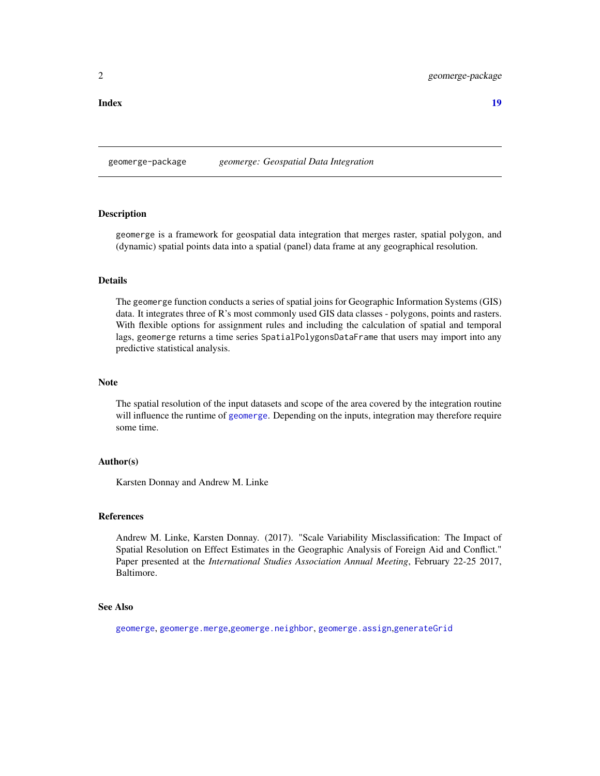<span id="page-1-1"></span><span id="page-1-0"></span>geomerge-package *geomerge: Geospatial Data Integration*

# **Description**

geomerge is a framework for geospatial data integration that merges raster, spatial polygon, and (dynamic) spatial points data into a spatial (panel) data frame at any geographical resolution.

# Details

The geomerge function conducts a series of spatial joins for Geographic Information Systems (GIS) data. It integrates three of R's most commonly used GIS data classes - polygons, points and rasters. With flexible options for assignment rules and including the calculation of spatial and temporal lags, geomerge returns a time series SpatialPolygonsDataFrame that users may import into any predictive statistical analysis.

### Note

The spatial resolution of the input datasets and scope of the area covered by the integration routine will influence the runtime of [geomerge](#page-6-1). Depending on the inputs, integration may therefore require some time.

### Author(s)

Karsten Donnay and Andrew M. Linke

### References

Andrew M. Linke, Karsten Donnay. (2017). "Scale Variability Misclassification: The Impact of Spatial Resolution on Effect Estimates in the Geographic Analysis of Foreign Aid and Conflict." Paper presented at the *International Studies Association Annual Meeting*, February 22-25 2017, Baltimore.

### See Also

[geomerge](#page-6-1), [geomerge.merge](#page-11-1),[geomerge.neighbor](#page-12-1), [geomerge.assign](#page-9-1),[generateGrid](#page-4-1)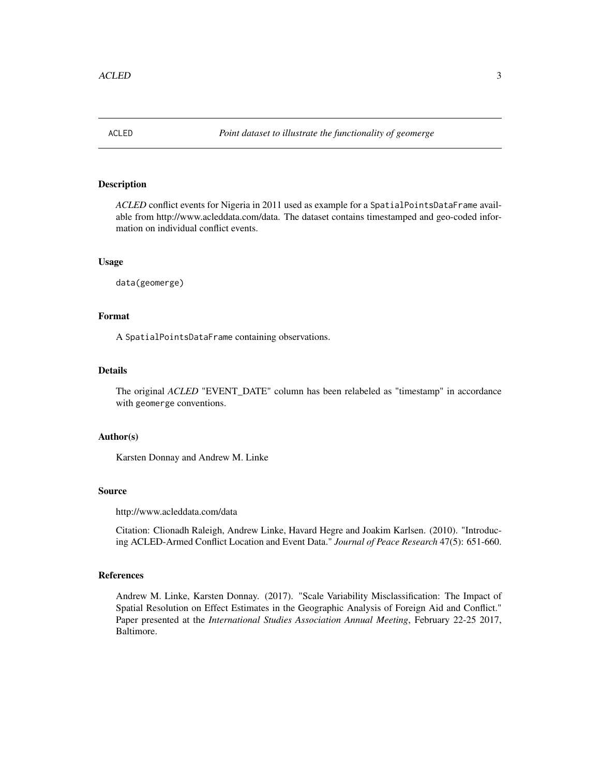<span id="page-2-0"></span>

*ACLED* conflict events for Nigeria in 2011 used as example for a SpatialPointsDataFrame available from http://www.acleddata.com/data. The dataset contains timestamped and geo-coded information on individual conflict events.

# Usage

data(geomerge)

# Format

A SpatialPointsDataFrame containing observations.

# Details

The original *ACLED* "EVENT\_DATE" column has been relabeled as "timestamp" in accordance with geomerge conventions.

### Author(s)

Karsten Donnay and Andrew M. Linke

### Source

http://www.acleddata.com/data

Citation: Clionadh Raleigh, Andrew Linke, Havard Hegre and Joakim Karlsen. (2010). "Introducing ACLED-Armed Conflict Location and Event Data." *Journal of Peace Research* 47(5): 651-660.

### References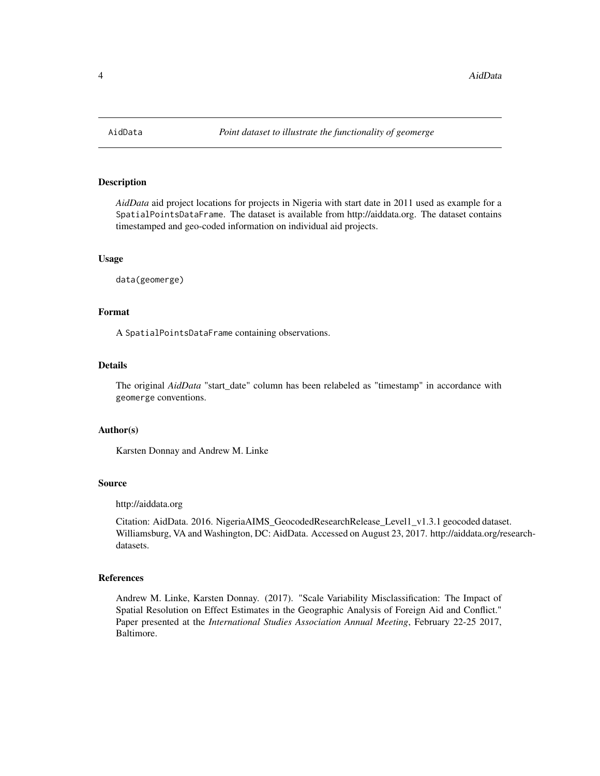<span id="page-3-0"></span>

*AidData* aid project locations for projects in Nigeria with start date in 2011 used as example for a SpatialPointsDataFrame. The dataset is available from http://aiddata.org. The dataset contains timestamped and geo-coded information on individual aid projects.

### Usage

data(geomerge)

### Format

A SpatialPointsDataFrame containing observations.

### Details

The original *AidData* "start\_date" column has been relabeled as "timestamp" in accordance with geomerge conventions.

# Author(s)

Karsten Donnay and Andrew M. Linke

### Source

http://aiddata.org

Citation: AidData. 2016. NigeriaAIMS\_GeocodedResearchRelease\_Level1\_v1.3.1 geocoded dataset. Williamsburg, VA and Washington, DC: AidData. Accessed on August 23, 2017. http://aiddata.org/researchdatasets.

# References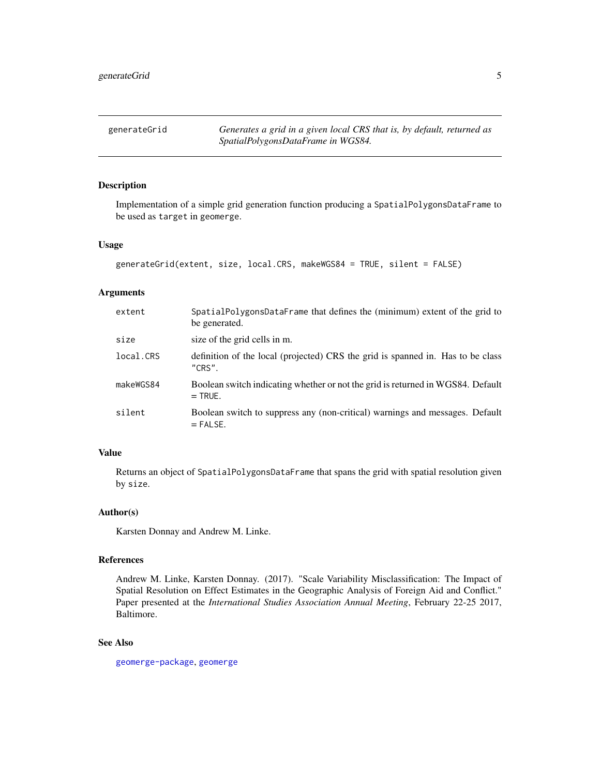<span id="page-4-1"></span><span id="page-4-0"></span>

Implementation of a simple grid generation function producing a SpatialPolygonsDataFrame to be used as target in geomerge.

### Usage

```
generateGrid(extent, size, local.CRS, makeWGS84 = TRUE, silent = FALSE)
```
### Arguments

| extent    | SpatialPolygonsDataFrame that defines the (minimum) extent of the grid to<br>be generated.   |
|-----------|----------------------------------------------------------------------------------------------|
| size      | size of the grid cells in m.                                                                 |
| local.CRS | definition of the local (projected) CRS the grid is spanned in. Has to be class<br>"CRS".    |
| makeWGS84 | Boolean switch indicating whether or not the grid is returned in WGS84. Default<br>$=$ TRUE. |
| silent    | Boolean switch to suppress any (non-critical) warnings and messages. Default<br>$=$ FALSE.   |

# Value

Returns an object of SpatialPolygonsDataFrame that spans the grid with spatial resolution given by size.

### Author(s)

Karsten Donnay and Andrew M. Linke.

### References

Andrew M. Linke, Karsten Donnay. (2017). "Scale Variability Misclassification: The Impact of Spatial Resolution on Effect Estimates in the Geographic Analysis of Foreign Aid and Conflict." Paper presented at the *International Studies Association Annual Meeting*, February 22-25 2017, Baltimore.

# See Also

[geomerge-package](#page-1-1), [geomerge](#page-6-1)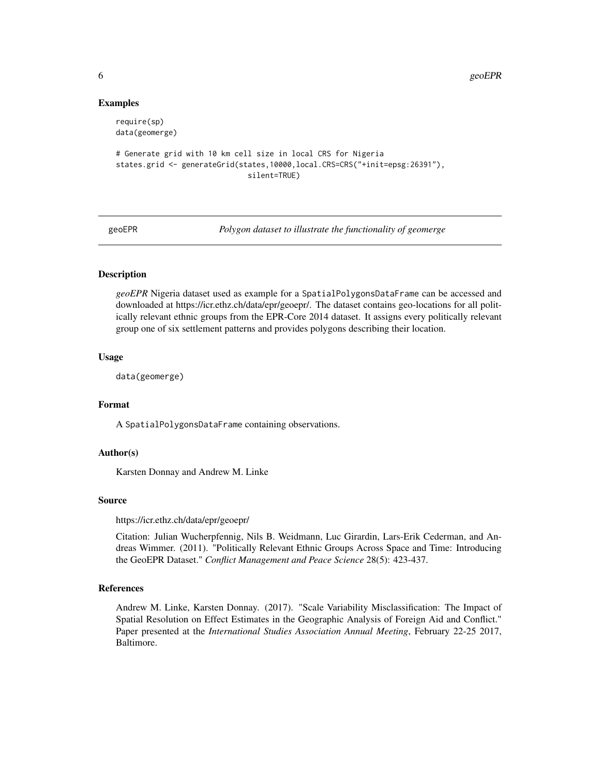### Examples

```
require(sp)
data(geomerge)
# Generate grid with 10 km cell size in local CRS for Nigeria
states.grid <- generateGrid(states,10000,local.CRS=CRS("+init=epsg:26391"),
                              silent=TRUE)
```
geoEPR *Polygon dataset to illustrate the functionality of geomerge*

# Description

*geoEPR* Nigeria dataset used as example for a SpatialPolygonsDataFrame can be accessed and downloaded at https://icr.ethz.ch/data/epr/geoepr/. The dataset contains geo-locations for all politically relevant ethnic groups from the EPR-Core 2014 dataset. It assigns every politically relevant group one of six settlement patterns and provides polygons describing their location.

### Usage

data(geomerge)

# Format

A SpatialPolygonsDataFrame containing observations.

### Author(s)

Karsten Donnay and Andrew M. Linke

### Source

https://icr.ethz.ch/data/epr/geoepr/

Citation: Julian Wucherpfennig, Nils B. Weidmann, Luc Girardin, Lars-Erik Cederman, and Andreas Wimmer. (2011). "Politically Relevant Ethnic Groups Across Space and Time: Introducing the GeoEPR Dataset." *Conflict Management and Peace Science* 28(5): 423-437.

# References

<span id="page-5-0"></span>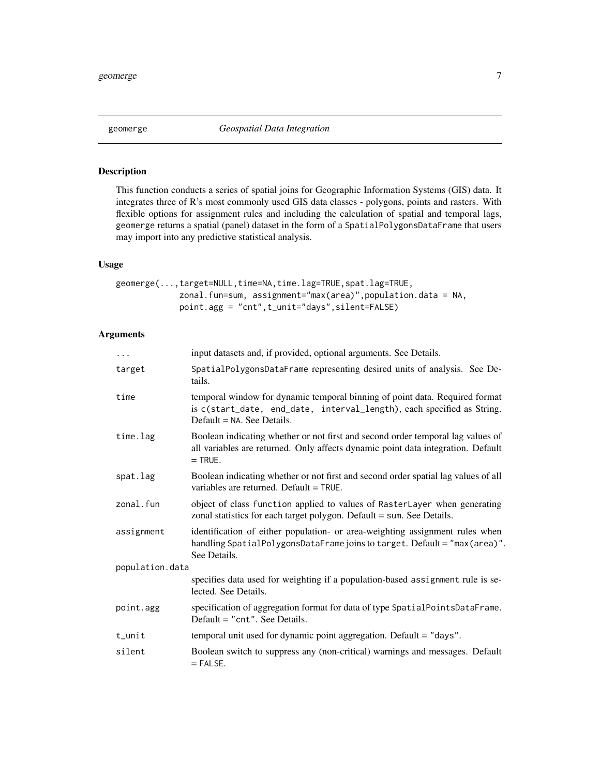<span id="page-6-1"></span><span id="page-6-0"></span>

This function conducts a series of spatial joins for Geographic Information Systems (GIS) data. It integrates three of R's most commonly used GIS data classes - polygons, points and rasters. With flexible options for assignment rules and including the calculation of spatial and temporal lags, geomerge returns a spatial (panel) dataset in the form of a SpatialPolygonsDataFrame that users may import into any predictive statistical analysis.

# Usage

| geomerge(,target=NULL,time=NA,time.lag=TRUE,spat.lag=TRUE,     |  |
|----------------------------------------------------------------|--|
| zonal.fun=sum, assignment="max(area)",population.data = $NA$ , |  |
| $point.$ agg = "cnt", $t$ _unit="days", $silent$ =FALSE)       |  |

# Arguments

| $\cdots$        | input datasets and, if provided, optional arguments. See Details.                                                                                                                      |  |  |  |  |  |
|-----------------|----------------------------------------------------------------------------------------------------------------------------------------------------------------------------------------|--|--|--|--|--|
| target          | SpatialPolygonsDataFrame representing desired units of analysis. See De-<br>tails.                                                                                                     |  |  |  |  |  |
| time            | temporal window for dynamic temporal binning of point data. Required format<br>is c(start_date, end_date, interval_length), each specified as String.<br>$Default = NA$ . See Details. |  |  |  |  |  |
| time.lag        | Boolean indicating whether or not first and second order temporal lag values of<br>all variables are returned. Only affects dynamic point data integration. Default<br>$=$ TRUE.       |  |  |  |  |  |
| spat.lag        | Boolean indicating whether or not first and second order spatial lag values of all<br>variables are returned. Default $=$ TRUE.                                                        |  |  |  |  |  |
| zonal.fun       | object of class function applied to values of RasterLayer when generating<br>zonal statistics for each target polygon. Default = sum. See Details.                                     |  |  |  |  |  |
| assignment      | identification of either population- or area-weighting assignment rules when<br>handling SpatialPolygonsDataFrame joins to target. Default = "max(area)".<br>See Details.              |  |  |  |  |  |
| population.data |                                                                                                                                                                                        |  |  |  |  |  |
|                 | specifies data used for weighting if a population-based assignment rule is se-<br>lected. See Details.                                                                                 |  |  |  |  |  |
| point.agg       | specification of aggregation format for data of type SpatialPointsDataFrame.<br>Default = "cnt". See Details.                                                                          |  |  |  |  |  |
| $t$ _unit       | temporal unit used for dynamic point aggregation. Default = "days".                                                                                                                    |  |  |  |  |  |
| silent          | Boolean switch to suppress any (non-critical) warnings and messages. Default<br>$=$ FALSE.                                                                                             |  |  |  |  |  |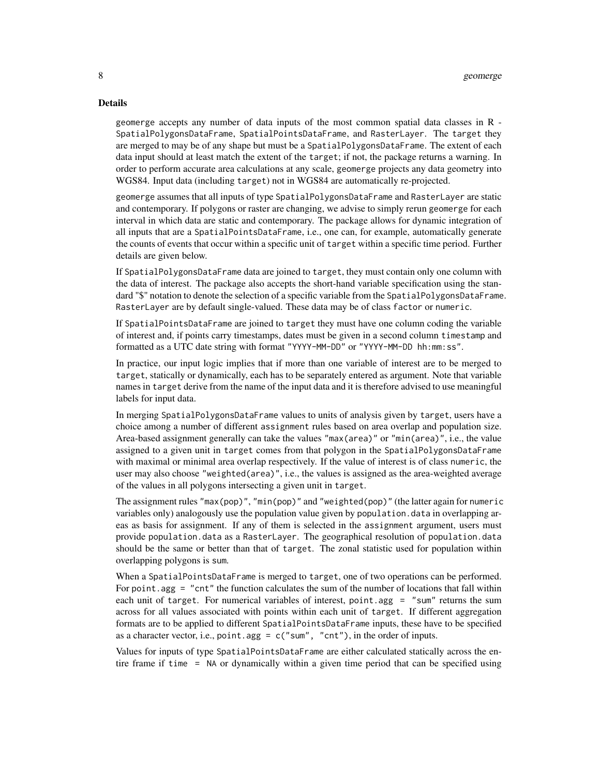### Details

geomerge accepts any number of data inputs of the most common spatial data classes in R - SpatialPolygonsDataFrame, SpatialPointsDataFrame, and RasterLayer. The target they are merged to may be of any shape but must be a SpatialPolygonsDataFrame. The extent of each data input should at least match the extent of the target; if not, the package returns a warning. In order to perform accurate area calculations at any scale, geomerge projects any data geometry into WGS84. Input data (including target) not in WGS84 are automatically re-projected.

geomerge assumes that all inputs of type SpatialPolygonsDataFrame and RasterLayer are static and contemporary. If polygons or raster are changing, we advise to simply rerun geomerge for each interval in which data are static and contemporary. The package allows for dynamic integration of all inputs that are a SpatialPointsDataFrame, i.e., one can, for example, automatically generate the counts of events that occur within a specific unit of target within a specific time period. Further details are given below.

If SpatialPolygonsDataFrame data are joined to target, they must contain only one column with the data of interest. The package also accepts the short-hand variable specification using the standard "\$" notation to denote the selection of a specific variable from the SpatialPolygonsDataFrame. RasterLayer are by default single-valued. These data may be of class factor or numeric.

If SpatialPointsDataFrame are joined to target they must have one column coding the variable of interest and, if points carry timestamps, dates must be given in a second column timestamp and formatted as a UTC date string with format "YYYY-MM-DD" or "YYYY-MM-DD hh:mm:ss".

In practice, our input logic implies that if more than one variable of interest are to be merged to target, statically or dynamically, each has to be separately entered as argument. Note that variable names in target derive from the name of the input data and it is therefore advised to use meaningful labels for input data.

In merging SpatialPolygonsDataFrame values to units of analysis given by target, users have a choice among a number of different assignment rules based on area overlap and population size. Area-based assignment generally can take the values "max(area)" or "min(area)", i.e., the value assigned to a given unit in target comes from that polygon in the SpatialPolygonsDataFrame with maximal or minimal area overlap respectively. If the value of interest is of class numeric, the user may also choose "weighted(area)", i.e., the values is assigned as the area-weighted average of the values in all polygons intersecting a given unit in target.

The assignment rules "max(pop)", "min(pop)" and "weighted(pop)" (the latter again for numeric variables only) analogously use the population value given by population.data in overlapping areas as basis for assignment. If any of them is selected in the assignment argument, users must provide population.data as a RasterLayer. The geographical resolution of population.data should be the same or better than that of target. The zonal statistic used for population within overlapping polygons is sum.

When a SpatialPointsDataFrame is merged to target, one of two operations can be performed. For point. agg  $=$  "cnt" the function calculates the sum of the number of locations that fall within each unit of target. For numerical variables of interest, point.agg = "sum" returns the sum across for all values associated with points within each unit of target. If different aggregation formats are to be applied to different SpatialPointsDataFrame inputs, these have to be specified as a character vector, i.e., point.agg =  $c("sum", "cnt"),$  in the order of inputs.

Values for inputs of type SpatialPointsDataFrame are either calculated statically across the entire frame if time = NA or dynamically within a given time period that can be specified using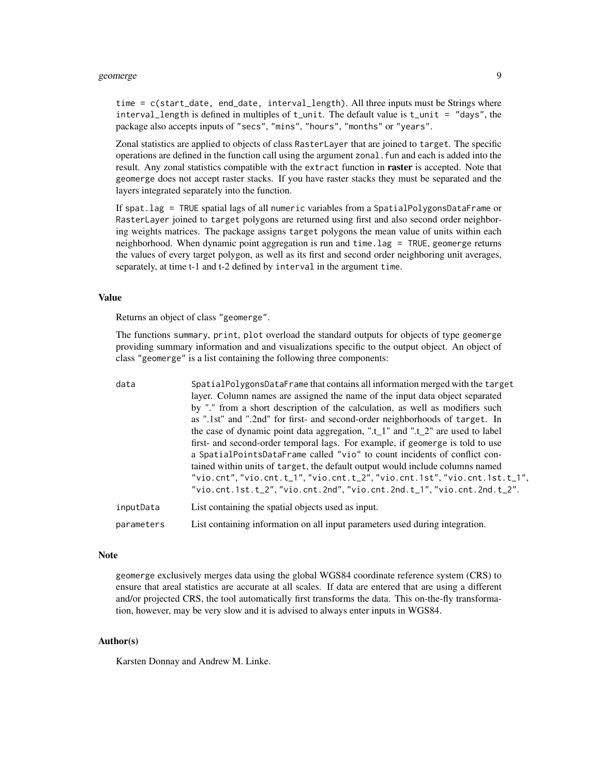### geomerge the set of the set of the set of the set of the set of the set of the set of the set of the set of the set of the set of the set of the set of the set of the set of the set of the set of the set of the set of the

time = c(start\_date, end\_date, interval\_length). All three inputs must be Strings where interval\_length is defined in multiples of  $t$ \_unit. The default value is  $t$ \_unit = "days", the package also accepts inputs of "secs", "mins", "hours", "months" or "years".

Zonal statistics are applied to objects of class RasterLayer that are joined to target. The specific operations are defined in the function call using the argument zonal.fun and each is added into the result. Any zonal statistics compatible with the extract function in raster is accepted. Note that geomerge does not accept raster stacks. If you have raster stacks they must be separated and the layers integrated separately into the function.

If spat.lag = TRUE spatial lags of all numeric variables from a SpatialPolygonsDataFrame or RasterLayer joined to target polygons are returned using first and also second order neighboring weights matrices. The package assigns target polygons the mean value of units within each neighborhood. When dynamic point aggregation is run and time.lag = TRUE, geomerge returns the values of every target polygon, as well as its first and second order neighboring unit averages, separately, at time t-1 and t-2 defined by interval in the argument time.

### Value

Returns an object of class "geomerge".

The functions summary, print, plot overload the standard outputs for objects of type geomerge providing summary information and and visualizations specific to the output object. An object of class "geomerge" is a list containing the following three components:

| data       | SpatialPolygonsDataFrame that contains all information merged with the target<br>layer. Column names are assigned the name of the input data object separated<br>by "." from a short description of the calculation, as well as modifiers such<br>as ".1st" and ".2nd" for first- and second-order neighborhoods of target. In<br>the case of dynamic point data aggregation, " $.t_1$ " and " $.t_2$ " are used to label<br>first- and second-order temporal lags. For example, if geomerge is told to use<br>a SpatialPointsDataFrame called "vio" to count incidents of conflict con-<br>tained within units of target, the default output would include columns named<br>"vio.cnt", "vio.cnt.t_1", "vio.cnt.t_2", "vio.cnt.1st", "vio.cnt.1st.t_1",<br>"vio.cnt.1st.t_2", "vio.cnt.2nd", "vio.cnt.2nd.t_1", "vio.cnt.2nd.t_2". |
|------------|------------------------------------------------------------------------------------------------------------------------------------------------------------------------------------------------------------------------------------------------------------------------------------------------------------------------------------------------------------------------------------------------------------------------------------------------------------------------------------------------------------------------------------------------------------------------------------------------------------------------------------------------------------------------------------------------------------------------------------------------------------------------------------------------------------------------------------|
| inputData  | List containing the spatial objects used as input.                                                                                                                                                                                                                                                                                                                                                                                                                                                                                                                                                                                                                                                                                                                                                                                 |
| parameters | List containing information on all input parameters used during integration.                                                                                                                                                                                                                                                                                                                                                                                                                                                                                                                                                                                                                                                                                                                                                       |

### Note

geomerge exclusively merges data using the global WGS84 coordinate reference system (CRS) to ensure that areal statistics are accurate at all scales. If data are entered that are using a different and/or projected CRS, the tool automatically first transforms the data. This on-the-fly transformation, however, may be very slow and it is advised to always enter inputs in WGS84.

### Author(s)

Karsten Donnay and Andrew M. Linke.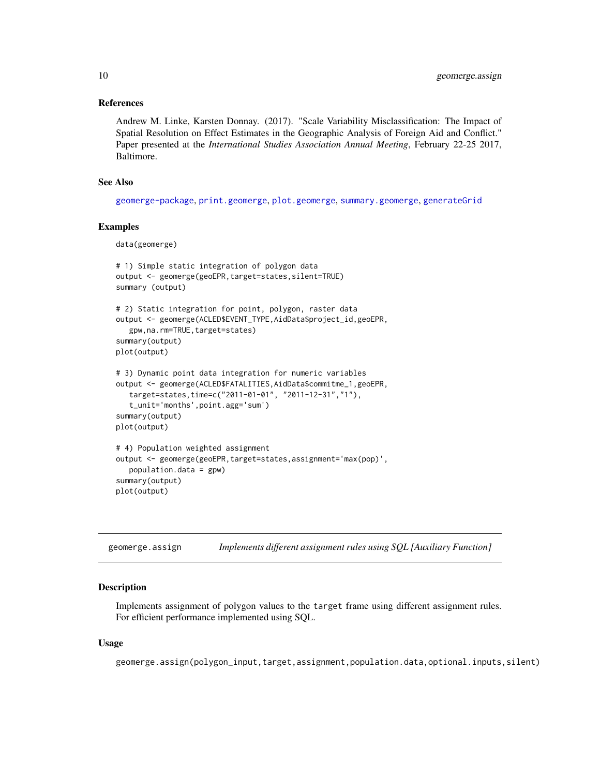### <span id="page-9-0"></span>References

Andrew M. Linke, Karsten Donnay. (2017). "Scale Variability Misclassification: The Impact of Spatial Resolution on Effect Estimates in the Geographic Analysis of Foreign Aid and Conflict." Paper presented at the *International Studies Association Annual Meeting*, February 22-25 2017, Baltimore.

### See Also

[geomerge-package](#page-1-1), [print.geomerge](#page-15-1), [plot.geomerge](#page-14-1), [summary.geomerge](#page-17-1), [generateGrid](#page-4-1)

### Examples

```
data(geomerge)
```

```
# 1) Simple static integration of polygon data
output <- geomerge(geoEPR,target=states,silent=TRUE)
summary (output)
# 2) Static integration for point, polygon, raster data
output <- geomerge(ACLED$EVENT_TYPE,AidData$project_id,geoEPR,
  gpw,na.rm=TRUE,target=states)
summary(output)
plot(output)
# 3) Dynamic point data integration for numeric variables
output <- geomerge(ACLED$FATALITIES,AidData$commitme_1,geoEPR,
  target=states,time=c("2011-01-01", "2011-12-31","1"),
   t_unit='months',point.agg='sum')
summary(output)
plot(output)
# 4) Population weighted assignment
output <- geomerge(geoEPR,target=states,assignment='max(pop)',
  population.data = gpw)
summary(output)
plot(output)
```
<span id="page-9-1"></span>

| geomerge.assign | Implements different assignment rules using SQL [Auxiliary Function] |  |  |  |
|-----------------|----------------------------------------------------------------------|--|--|--|
|                 |                                                                      |  |  |  |

# Description

Implements assignment of polygon values to the target frame using different assignment rules. For efficient performance implemented using SQL.

### Usage

geomerge.assign(polygon\_input,target,assignment,population.data,optional.inputs,silent)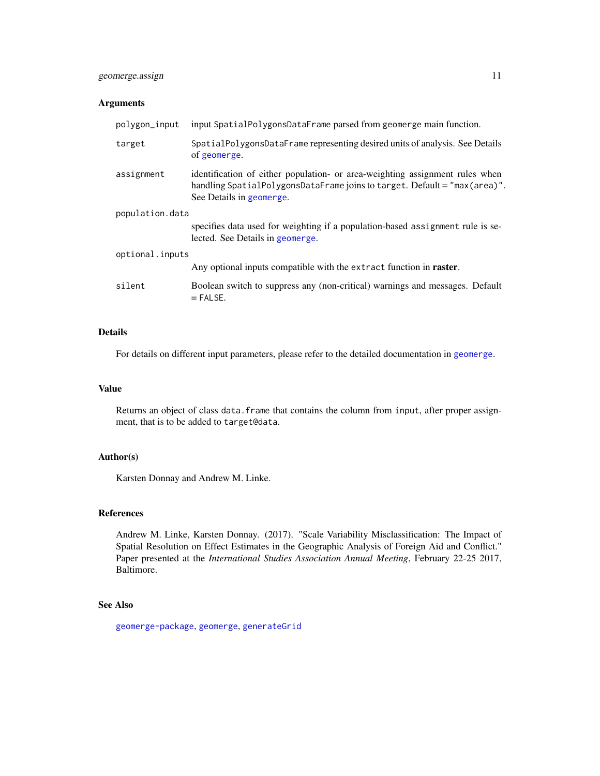# <span id="page-10-0"></span>geomerge.assign 11

# Arguments

| polygon_input   | input SpatialPolygonsDataFrame parsed from geomerge main function.                                                                                                                    |  |  |  |  |
|-----------------|---------------------------------------------------------------------------------------------------------------------------------------------------------------------------------------|--|--|--|--|
| target          | SpatialPolygonsDataFrame representing desired units of analysis. See Details<br>of geomerge.                                                                                          |  |  |  |  |
| assignment      | identification of either population- or area-weighting assignment rules when<br>handling SpatialPolygonsDataFrame joins to target. Default = "max(area)".<br>See Details in geomerge. |  |  |  |  |
| population.data |                                                                                                                                                                                       |  |  |  |  |
|                 | specifies data used for weighting if a population-based assignment rule is se-<br>lected. See Details in geomerge.                                                                    |  |  |  |  |
| optional.inputs |                                                                                                                                                                                       |  |  |  |  |
|                 | Any optional inputs compatible with the extract function in <b>raster</b> .                                                                                                           |  |  |  |  |
| silent          | Boolean switch to suppress any (non-critical) warnings and messages. Default<br>$=$ FALSE.                                                                                            |  |  |  |  |

# Details

For details on different input parameters, please refer to the detailed documentation in [geomerge](#page-6-1).

# Value

Returns an object of class data.frame that contains the column from input, after proper assignment, that is to be added to target@data.

### Author(s)

Karsten Donnay and Andrew M. Linke.

# References

Andrew M. Linke, Karsten Donnay. (2017). "Scale Variability Misclassification: The Impact of Spatial Resolution on Effect Estimates in the Geographic Analysis of Foreign Aid and Conflict." Paper presented at the *International Studies Association Annual Meeting*, February 22-25 2017, Baltimore.

# See Also

[geomerge-package](#page-1-1), [geomerge](#page-6-1), [generateGrid](#page-4-1)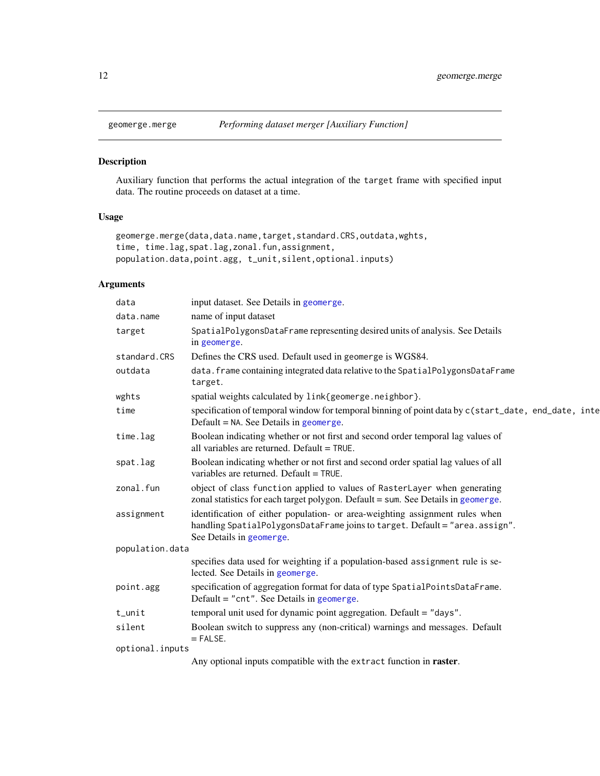<span id="page-11-1"></span><span id="page-11-0"></span>

Auxiliary function that performs the actual integration of the target frame with specified input data. The routine proceeds on dataset at a time.

# Usage

```
geomerge.merge(data,data.name,target,standard.CRS,outdata,wghts,
time, time.lag,spat.lag,zonal.fun,assignment,
population.data,point.agg, t_unit,silent,optional.inputs)
```
# Arguments

| data            | input dataset. See Details in geomerge.                                                                                                                                                 |
|-----------------|-----------------------------------------------------------------------------------------------------------------------------------------------------------------------------------------|
| data.name       | name of input dataset                                                                                                                                                                   |
| target          | SpatialPolygonsDataFrame representing desired units of analysis. See Details<br>in geomerge.                                                                                            |
| standard.CRS    | Defines the CRS used. Default used in geomerge is WGS84.                                                                                                                                |
| outdata         | data. frame containing integrated data relative to the SpatialPolygonsDataFrame<br>target.                                                                                              |
| wghts           | spatial weights calculated by link{geomerge.neighbor}.                                                                                                                                  |
| time            | specification of temporal window for temporal binning of point data by c(start_date, end_date, inte<br>Default $=$ NA. See Details in geomerge.                                         |
| time.lag        | Boolean indicating whether or not first and second order temporal lag values of<br>all variables are returned. Default = TRUE.                                                          |
| spat.lag        | Boolean indicating whether or not first and second order spatial lag values of all<br>variables are returned. Default = TRUE.                                                           |
| zonal.fun       | object of class function applied to values of RasterLayer when generating<br>zonal statistics for each target polygon. Default = sum. See Details in geomerge.                          |
| assignment      | identification of either population- or area-weighting assignment rules when<br>handling SpatialPolygonsDataFrame joins to target. Default = "area.assign".<br>See Details in geomerge. |
| population.data |                                                                                                                                                                                         |
|                 | specifies data used for weighting if a population-based assignment rule is se-<br>lected. See Details in geomerge.                                                                      |
| point.agg       | specification of aggregation format for data of type SpatialPointsDataFrame.<br>Default = " $cnt$ ". See Details in geomerge.                                                           |
| t_unit          | temporal unit used for dynamic point aggregation. Default = "days".                                                                                                                     |
| silent          | Boolean switch to suppress any (non-critical) warnings and messages. Default<br>$=$ FALSE.                                                                                              |
| optional.inputs |                                                                                                                                                                                         |
|                 | Any optional inputs compatible with the extract function in <b>raster</b> .                                                                                                             |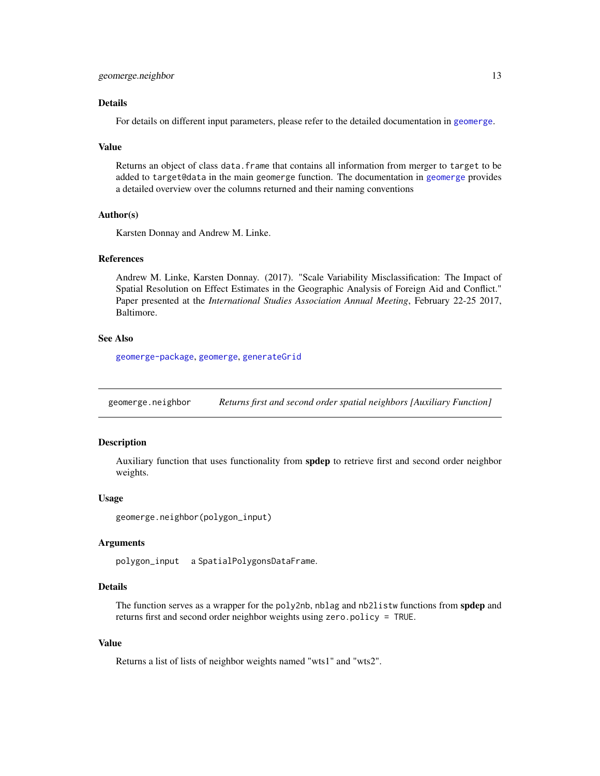### <span id="page-12-0"></span>Details

For details on different input parameters, please refer to the detailed documentation in [geomerge](#page-6-1).

### Value

Returns an object of class data. frame that contains all information from merger to target to be added to target@data in the main geomerge function. The documentation in [geomerge](#page-6-1) provides a detailed overview over the columns returned and their naming conventions

# Author(s)

Karsten Donnay and Andrew M. Linke.

# References

Andrew M. Linke, Karsten Donnay. (2017). "Scale Variability Misclassification: The Impact of Spatial Resolution on Effect Estimates in the Geographic Analysis of Foreign Aid and Conflict." Paper presented at the *International Studies Association Annual Meeting*, February 22-25 2017, Baltimore.

# See Also

[geomerge-package](#page-1-1), [geomerge](#page-6-1), [generateGrid](#page-4-1)

<span id="page-12-1"></span>geomerge.neighbor *Returns first and second order spatial neighbors [Auxiliary Function]*

# Description

Auxiliary function that uses functionality from **spdep** to retrieve first and second order neighbor weights.

#### Usage

```
geomerge.neighbor(polygon_input)
```
### Arguments

polygon\_input a SpatialPolygonsDataFrame.

# Details

The function serves as a wrapper for the poly2nb, nblag and nb2listw functions from spdep and returns first and second order neighbor weights using zero.policy = TRUE.

# Value

Returns a list of lists of neighbor weights named "wts1" and "wts2".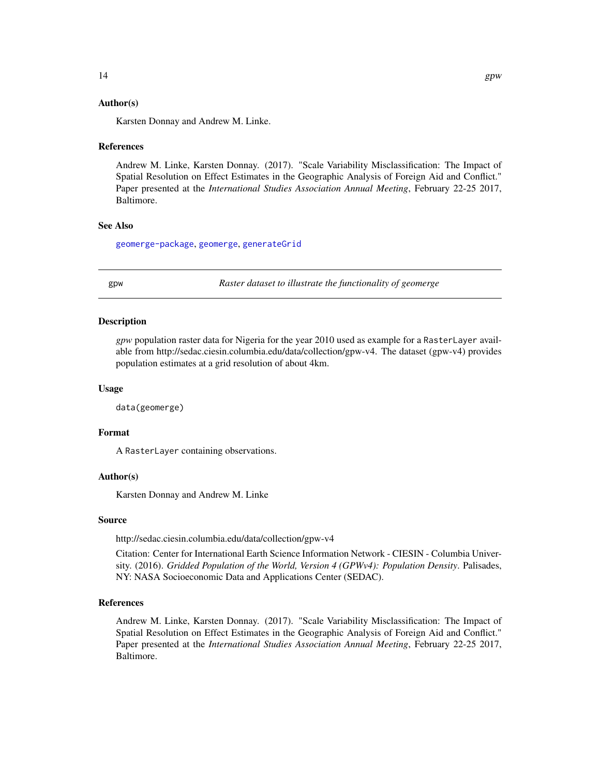### <span id="page-13-0"></span>Author(s)

Karsten Donnay and Andrew M. Linke.

### References

Andrew M. Linke, Karsten Donnay. (2017). "Scale Variability Misclassification: The Impact of Spatial Resolution on Effect Estimates in the Geographic Analysis of Foreign Aid and Conflict." Paper presented at the *International Studies Association Annual Meeting*, February 22-25 2017, Baltimore.

# See Also

[geomerge-package](#page-1-1), [geomerge](#page-6-1), [generateGrid](#page-4-1)

gpw *Raster dataset to illustrate the functionality of geomerge*

### Description

*gpw* population raster data for Nigeria for the year 2010 used as example for a RasterLayer available from http://sedac.ciesin.columbia.edu/data/collection/gpw-v4. The dataset (gpw-v4) provides population estimates at a grid resolution of about 4km.

### Usage

data(geomerge)

### Format

A RasterLayer containing observations.

### Author(s)

Karsten Donnay and Andrew M. Linke

### Source

http://sedac.ciesin.columbia.edu/data/collection/gpw-v4

Citation: Center for International Earth Science Information Network - CIESIN - Columbia University. (2016). *Gridded Population of the World, Version 4 (GPWv4): Population Density*. Palisades, NY: NASA Socioeconomic Data and Applications Center (SEDAC).

### References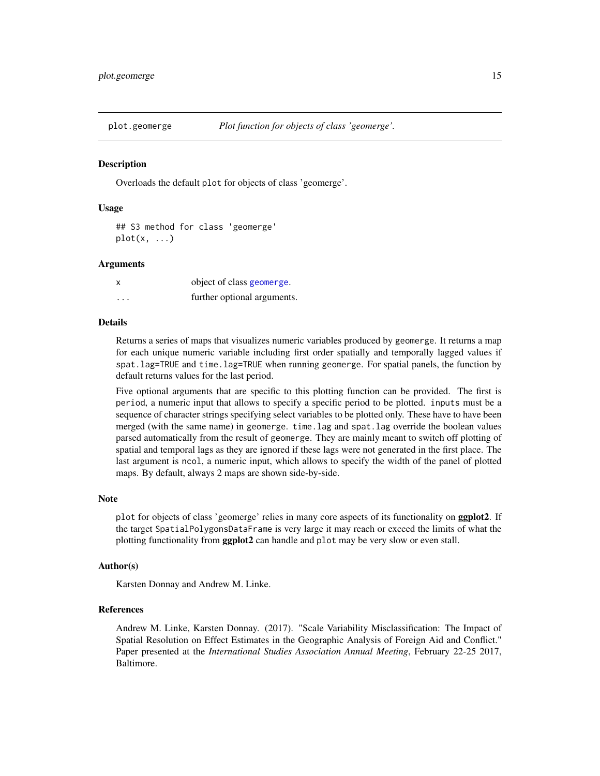<span id="page-14-1"></span><span id="page-14-0"></span>

Overloads the default plot for objects of class 'geomerge'.

### Usage

## S3 method for class 'geomerge'  $plot(x, \ldots)$ 

### Arguments

|   | object of class geomerge.   |
|---|-----------------------------|
| . | further optional arguments. |

### Details

Returns a series of maps that visualizes numeric variables produced by geomerge. It returns a map for each unique numeric variable including first order spatially and temporally lagged values if spat.lag=TRUE and time.lag=TRUE when running geomerge. For spatial panels, the function by default returns values for the last period.

Five optional arguments that are specific to this plotting function can be provided. The first is period, a numeric input that allows to specify a specific period to be plotted. inputs must be a sequence of character strings specifying select variables to be plotted only. These have to have been merged (with the same name) in geomerge. time.lag and spat.lag override the boolean values parsed automatically from the result of geomerge. They are mainly meant to switch off plotting of spatial and temporal lags as they are ignored if these lags were not generated in the first place. The last argument is ncol, a numeric input, which allows to specify the width of the panel of plotted maps. By default, always 2 maps are shown side-by-side.

#### Note

plot for objects of class 'geomerge' relies in many core aspects of its functionality on ggplot2. If the target SpatialPolygonsDataFrame is very large it may reach or exceed the limits of what the plotting functionality from **ggplot2** can handle and plot may be very slow or even stall.

### Author(s)

Karsten Donnay and Andrew M. Linke.

### References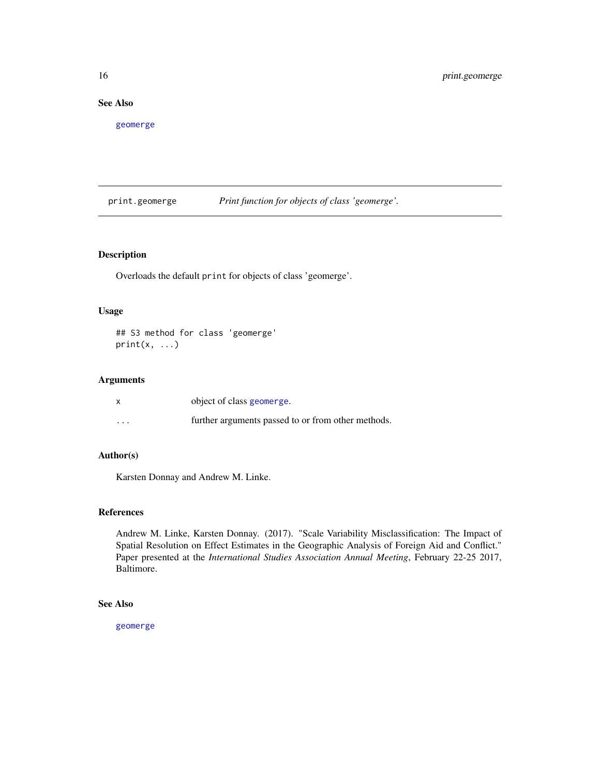# <span id="page-15-0"></span>See Also

[geomerge](#page-6-1)

<span id="page-15-1"></span>print.geomerge *Print function for objects of class 'geomerge'.*

# **Description**

Overloads the default print for objects of class 'geomerge'.

### Usage

## S3 method for class 'geomerge'  $print(x, \ldots)$ 

# Arguments

|                   | object of class geomerge.                          |
|-------------------|----------------------------------------------------|
| $\cdot\cdot\cdot$ | further arguments passed to or from other methods. |

# Author(s)

Karsten Donnay and Andrew M. Linke.

# References

Andrew M. Linke, Karsten Donnay. (2017). "Scale Variability Misclassification: The Impact of Spatial Resolution on Effect Estimates in the Geographic Analysis of Foreign Aid and Conflict." Paper presented at the *International Studies Association Annual Meeting*, February 22-25 2017, Baltimore.

# See Also

[geomerge](#page-6-1)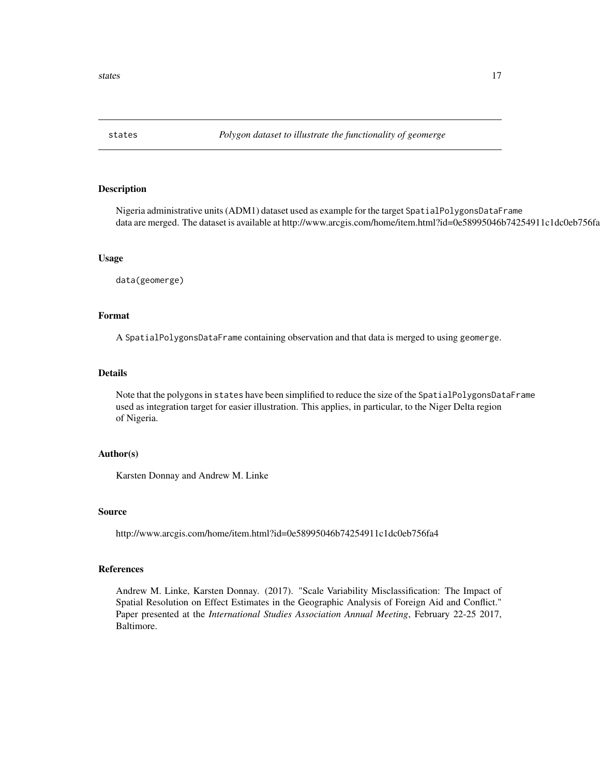<span id="page-16-0"></span>

Nigeria administrative units (ADM1) dataset used as example for the target SpatialPolygonsDataFrame data are merged. The dataset is available at http://www.arcgis.com/home/item.html?id=0e58995046b74254911c1dc0eb756fa

### Usage

data(geomerge)

### Format

A SpatialPolygonsDataFrame containing observation and that data is merged to using geomerge.

# Details

Note that the polygons in states have been simplified to reduce the size of the SpatialPolygonsDataFrame used as integration target for easier illustration. This applies, in particular, to the Niger Delta region of Nigeria.

### Author(s)

Karsten Donnay and Andrew M. Linke

### Source

http://www.arcgis.com/home/item.html?id=0e58995046b74254911c1dc0eb756fa4

### References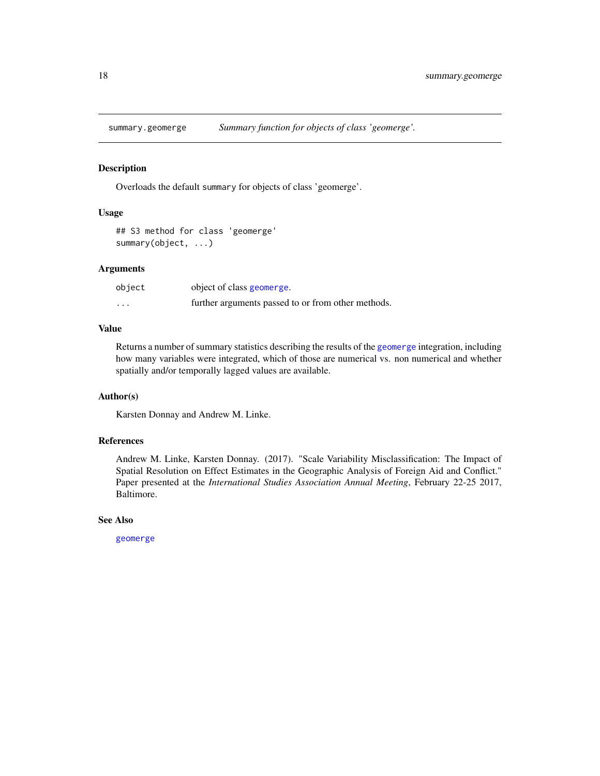<span id="page-17-1"></span><span id="page-17-0"></span>

Overloads the default summary for objects of class 'geomerge'.

### Usage

```
## S3 method for class 'geomerge'
summary(object, ...)
```
# Arguments

| object   | object of class geomerge.                          |
|----------|----------------------------------------------------|
| $\cdots$ | further arguments passed to or from other methods. |

# Value

Returns a number of summary statistics describing the results of the [geomerge](#page-6-1) integration, including how many variables were integrated, which of those are numerical vs. non numerical and whether spatially and/or temporally lagged values are available.

### Author(s)

Karsten Donnay and Andrew M. Linke.

# References

Andrew M. Linke, Karsten Donnay. (2017). "Scale Variability Misclassification: The Impact of Spatial Resolution on Effect Estimates in the Geographic Analysis of Foreign Aid and Conflict." Paper presented at the *International Studies Association Annual Meeting*, February 22-25 2017, Baltimore.

### See Also

[geomerge](#page-6-1)